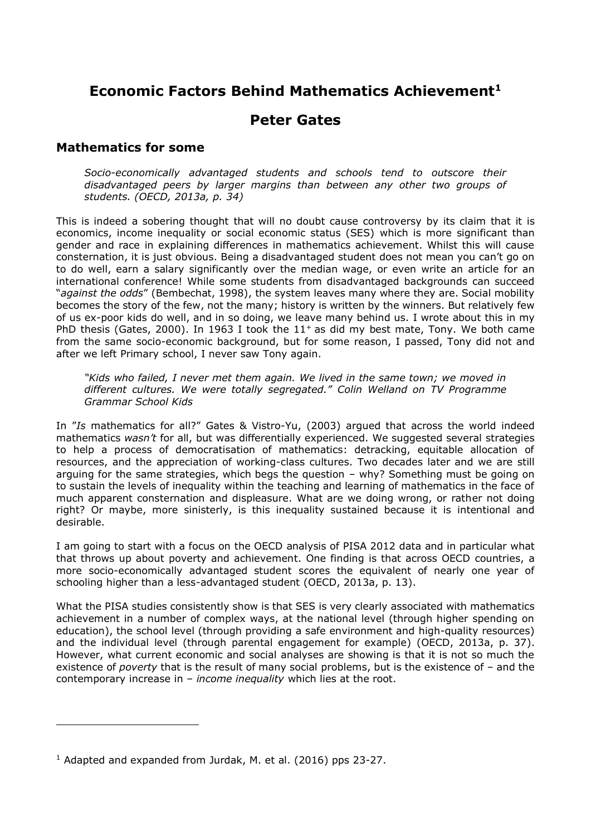# **Economic Factors Behind Mathematics Achievement<sup>1</sup>**

## **Peter Gates**

### **Mathematics for some**

*Socio-economically advantaged students and schools tend to outscore their disadvantaged peers by larger margins than between any other two groups of students. (OECD, 2013a, p. 34)*

This is indeed a sobering thought that will no doubt cause controversy by its claim that it is economics, income inequality or social economic status (SES) which is more significant than gender and race in explaining differences in mathematics achievement. Whilst this will cause consternation, it is just obvious. Being a disadvantaged student does not mean you can't go on to do well, earn a salary significantly over the median wage, or even write an article for an international conference! While some students from disadvantaged backgrounds can succeed "*against the odds*" (Bembechat, 1998), the system leaves many where they are. Social mobility becomes the story of the few, not the many; history is written by the winners. But relatively few of us ex-poor kids do well, and in so doing, we leave many behind us. I wrote about this in my PhD thesis (Gates, 2000). In 1963 I took the  $11<sup>+</sup>$  as did my best mate, Tony. We both came from the same socio-economic background, but for some reason, I passed, Tony did not and after we left Primary school, I never saw Tony again.

*"Kids who failed, I never met them again. We lived in the same town; we moved in different cultures. We were totally segregated." Colin Welland on TV Programme Grammar School Kids*

In "*Is* mathematics for all?" Gates & Vistro-Yu, (2003) argued that across the world indeed mathematics *wasn't* for all, but was differentially experienced. We suggested several strategies to help a process of democratisation of mathematics: detracking, equitable allocation of resources, and the appreciation of working-class cultures. Two decades later and we are still arguing for the same strategies, which begs the question – why? Something must be going on to sustain the levels of inequality within the teaching and learning of mathematics in the face of much apparent consternation and displeasure. What are we doing wrong, or rather not doing right? Or maybe, more sinisterly, is this inequality sustained because it is intentional and desirable.

I am going to start with a focus on the OECD analysis of PISA 2012 data and in particular what that throws up about poverty and achievement. One finding is that across OECD countries, a more socio-economically advantaged student scores the equivalent of nearly one year of schooling higher than a less-advantaged student (OECD, 2013a, p. 13).

What the PISA studies consistently show is that SES is very clearly associated with mathematics achievement in a number of complex ways, at the national level (through higher spending on education), the school level (through providing a safe environment and high-quality resources) and the individual level (through parental engagement for example) (OECD, 2013a, p. 37). However, what current economic and social analyses are showing is that it is not so much the existence of *poverty* that is the result of many social problems, but is the existence of – and the contemporary increase in – *income inequality* which lies at the root.

 $1$  Adapted and expanded from Jurdak, M. et al. (2016) pps 23-27.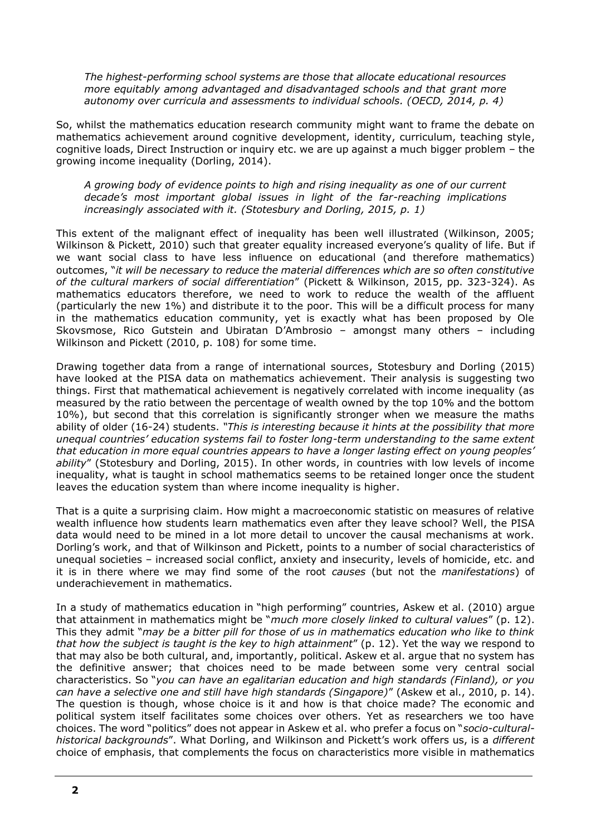*The highest-performing school systems are those that allocate educational resources more equitably among advantaged and disadvantaged schools and that grant more autonomy over curricula and assessments to individual schools. (OECD, 2014, p. 4)*

So, whilst the mathematics education research community might want to frame the debate on mathematics achievement around cognitive development, identity, curriculum, teaching style, cognitive loads, Direct Instruction or inquiry etc. we are up against a much bigger problem – the growing income inequality (Dorling, 2014).

*A growing body of evidence points to high and rising inequality as one of our current decade's most important global issues in light of the far-reaching implications increasingly associated with it. (Stotesbury and Dorling, 2015, p. 1)*

This extent of the malignant effect of inequality has been well illustrated (Wilkinson, 2005; Wilkinson & Pickett, 2010) such that greater equality increased everyone's quality of life. But if we want social class to have less influence on educational (and therefore mathematics) outcomes, "*it will be necessary to reduce the material differences which are so often constitutive of the cultural markers of social differentiation*" (Pickett & Wilkinson, 2015, pp. 323-324). As mathematics educators therefore, we need to work to reduce the wealth of the affluent (particularly the new 1%) and distribute it to the poor. This will be a difficult process for many in the mathematics education community, yet is exactly what has been proposed by Ole Skovsmose, Rico Gutstein and Ubiratan D'Ambrosio – amongst many others – including Wilkinson and Pickett (2010, p. 108) for some time.

Drawing together data from a range of international sources, Stotesbury and Dorling (2015) have looked at the PISA data on mathematics achievement. Their analysis is suggesting two things. First that mathematical achievement is negatively correlated with income inequality (as measured by the ratio between the percentage of wealth owned by the top 10% and the bottom 10%), but second that this correlation is significantly stronger when we measure the maths ability of older (16-24) students. *"This is interesting because it hints at the possibility that more unequal countries' education systems fail to foster long-term understanding to the same extent that education in more equal countries appears to have a longer lasting effect on young peoples' ability*" (Stotesbury and Dorling, 2015). In other words, in countries with low levels of income inequality, what is taught in school mathematics seems to be retained longer once the student leaves the education system than where income inequality is higher.

That is a quite a surprising claim. How might a macroeconomic statistic on measures of relative wealth influence how students learn mathematics even after they leave school? Well, the PISA data would need to be mined in a lot more detail to uncover the causal mechanisms at work. Dorling's work, and that of Wilkinson and Pickett, points to a number of social characteristics of unequal societies – increased social conflict, anxiety and insecurity, levels of homicide, etc. and it is in there where we may find some of the root *causes* (but not the *manifestations*) of underachievement in mathematics.

In a study of mathematics education in "high performing" countries, Askew et al. (2010) argue that attainment in mathematics might be "*much more closely linked to cultural values*" (p. 12). This they admit "*may be a bitter pill for those of us in mathematics education who like to think that how the subject is taught is the key to high attainment*" (p. 12). Yet the way we respond to that may also be both cultural, and, importantly, political. Askew et al. argue that no system has the definitive answer; that choices need to be made between some very central social characteristics. So "*you can have an egalitarian education and high standards (Finland), or you can have a selective one and still have high standards (Singapore)*" (Askew et al., 2010, p. 14). The question is though, whose choice is it and how is that choice made? The economic and political system itself facilitates some choices over others. Yet as researchers we too have choices. The word "politics" does not appear in Askew et al. who prefer a focus on "*socio-culturalhistorical backgrounds*". What Dorling, and Wilkinson and Pickett's work offers us, is a *different* choice of emphasis, that complements the focus on characteristics more visible in mathematics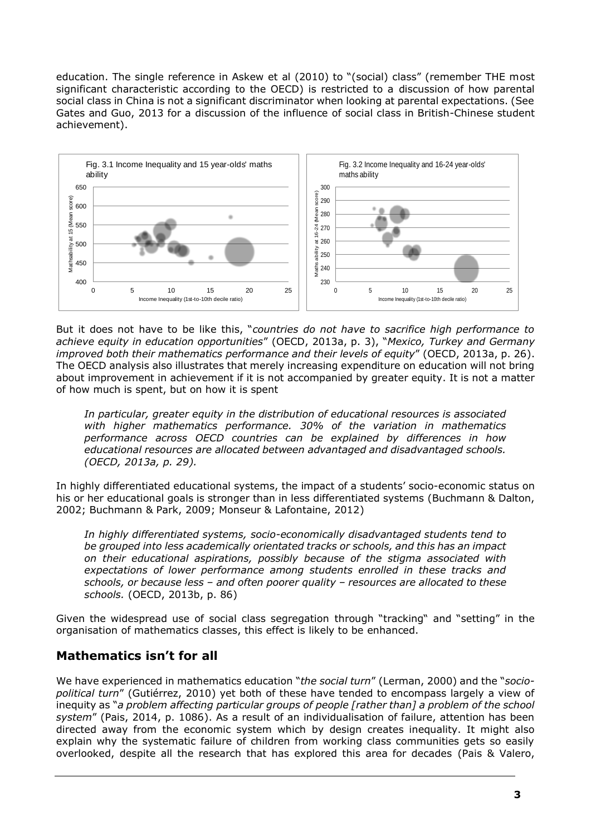education. The single reference in Askew et al (2010) to "(social) class" (remember THE most significant characteristic according to the OECD) is restricted to a discussion of how parental social class in China is not a significant discriminator when looking at parental expectations. (See Gates and Guo, 2013 for a discussion of the influence of social class in British-Chinese student achievement).



But it does not have to be like this, "*countries do not have to sacrifice high performance to achieve equity in education opportunities*" (OECD, 2013a, p. 3), "*Mexico, Turkey and Germany improved both their mathematics performance and their levels of equity*" (OECD, 2013a, p. 26). The OECD analysis also illustrates that merely increasing expenditure on education will not bring about improvement in achievement if it is not accompanied by greater equity. It is not a matter of how much is spent, but on how it is spent

*In particular, greater equity in the distribution of educational resources is associated with higher mathematics performance. 30% of the variation in mathematics performance across OECD countries can be explained by differences in how educational resources are allocated between advantaged and disadvantaged schools. (OECD, 2013a, p. 29).*

In highly differentiated educational systems, the impact of a students' socio-economic status on his or her educational goals is stronger than in less differentiated systems (Buchmann & Dalton, 2002; Buchmann & Park, 2009; Monseur & Lafontaine, 2012)

*In highly differentiated systems, socio-economically disadvantaged students tend to be grouped into less academically orientated tracks or schools, and this has an impact on their educational aspirations, possibly because of the stigma associated with expectations of lower performance among students enrolled in these tracks and schools, or because less – and often poorer quality – resources are allocated to these schools.* (OECD, 2013b, p. 86)

Given the widespread use of social class segregation through "tracking" and "setting" in the organisation of mathematics classes, this effect is likely to be enhanced.

## **Mathematics isn't for all**

We have experienced in mathematics education "*the social turn*" (Lerman, 2000) and the "*sociopolitical turn*" (Gutiérrez, 2010) yet both of these have tended to encompass largely a view of inequity as "*a problem affecting particular groups of people [rather than] a problem of the school system*" (Pais, 2014, p. 1086). As a result of an individualisation of failure, attention has been directed away from the economic system which by design creates inequality. It might also explain why the systematic failure of children from working class communities gets so easily overlooked, despite all the research that has explored this area for decades (Pais & Valero,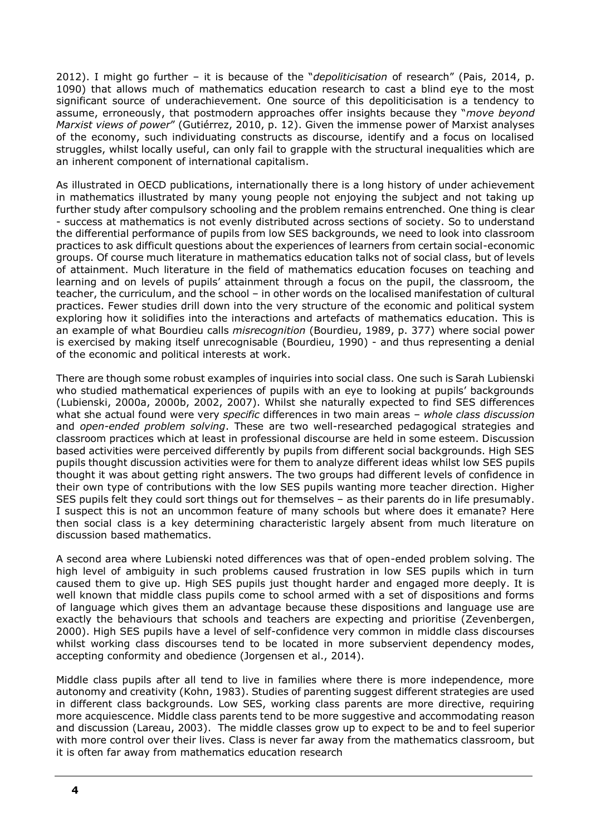2012). I might go further – it is because of the "*depoliticisation* of research" (Pais, 2014, p. 1090) that allows much of mathematics education research to cast a blind eye to the most significant source of underachievement. One source of this depoliticisation is a tendency to assume, erroneously, that postmodern approaches offer insights because they "*move beyond Marxist views of power*" (Gutiérrez, 2010, p. 12). Given the immense power of Marxist analyses of the economy, such individuating constructs as discourse, identify and a focus on localised struggles, whilst locally useful, can only fail to grapple with the structural inequalities which are an inherent component of international capitalism.

As illustrated in OECD publications, internationally there is a long history of under achievement in mathematics illustrated by many young people not enjoying the subject and not taking up further study after compulsory schooling and the problem remains entrenched. One thing is clear - success at mathematics is not evenly distributed across sections of society. So to understand the differential performance of pupils from low SES backgrounds, we need to look into classroom practices to ask difficult questions about the experiences of learners from certain social-economic groups. Of course much literature in mathematics education talks not of social class, but of levels of attainment. Much literature in the field of mathematics education focuses on teaching and learning and on levels of pupils' attainment through a focus on the pupil, the classroom, the teacher, the curriculum, and the school – in other words on the localised manifestation of cultural practices. Fewer studies drill down into the very structure of the economic and political system exploring how it solidifies into the interactions and artefacts of mathematics education. This is an example of what Bourdieu calls *misrecognition* (Bourdieu, 1989, p. 377) where social power is exercised by making itself unrecognisable (Bourdieu, 1990) - and thus representing a denial of the economic and political interests at work.

There are though some robust examples of inquiries into social class. One such is Sarah Lubienski who studied mathematical experiences of pupils with an eye to looking at pupils' backgrounds (Lubienski, 2000a, 2000b, 2002, 2007). Whilst she naturally expected to find SES differences what she actual found were very *specific* differences in two main areas – *whole class discussion* and *open-ended problem solving*. These are two well-researched pedagogical strategies and classroom practices which at least in professional discourse are held in some esteem. Discussion based activities were perceived differently by pupils from different social backgrounds. High SES pupils thought discussion activities were for them to analyze different ideas whilst low SES pupils thought it was about getting right answers. The two groups had different levels of confidence in their own type of contributions with the low SES pupils wanting more teacher direction. Higher SES pupils felt they could sort things out for themselves – as their parents do in life presumably. I suspect this is not an uncommon feature of many schools but where does it emanate? Here then social class is a key determining characteristic largely absent from much literature on discussion based mathematics.

A second area where Lubienski noted differences was that of open-ended problem solving. The high level of ambiguity in such problems caused frustration in low SES pupils which in turn caused them to give up. High SES pupils just thought harder and engaged more deeply. It is well known that middle class pupils come to school armed with a set of dispositions and forms of language which gives them an advantage because these dispositions and language use are exactly the behaviours that schools and teachers are expecting and prioritise (Zevenbergen, 2000). High SES pupils have a level of self-confidence very common in middle class discourses whilst working class discourses tend to be located in more subservient dependency modes, accepting conformity and obedience (Jorgensen et al., 2014).

Middle class pupils after all tend to live in families where there is more independence, more autonomy and creativity (Kohn, 1983). Studies of parenting suggest different strategies are used in different class backgrounds. Low SES, working class parents are more directive, requiring more acquiescence. Middle class parents tend to be more suggestive and accommodating reason and discussion (Lareau, 2003). The middle classes grow up to expect to be and to feel superior with more control over their lives. Class is never far away from the mathematics classroom, but it is often far away from mathematics education research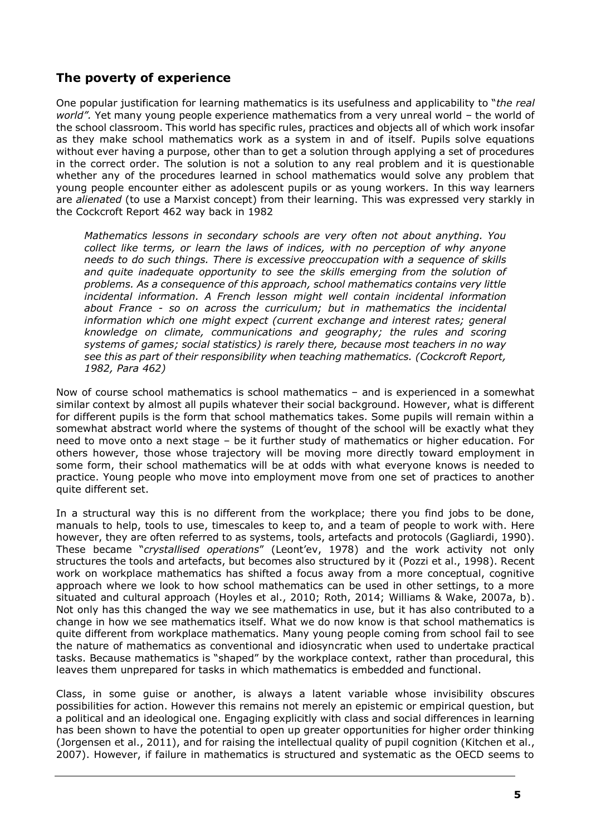### **The poverty of experience**

One popular justification for learning mathematics is its usefulness and applicability to "*the real world".* Yet many young people experience mathematics from a very unreal world – the world of the school classroom. This world has specific rules, practices and objects all of which work insofar as they make school mathematics work as a system in and of itself. Pupils solve equations without ever having a purpose, other than to get a solution through applying a set of procedures in the correct order. The solution is not a solution to any real problem and it is questionable whether any of the procedures learned in school mathematics would solve any problem that young people encounter either as adolescent pupils or as young workers. In this way learners are *alienated* (to use a Marxist concept) from their learning. This was expressed very starkly in the Cockcroft Report 462 way back in 1982

*Mathematics lessons in secondary schools are very often not about anything. You collect like terms, or learn the laws of indices, with no perception of why anyone needs to do such things. There is excessive preoccupation with a sequence of skills and quite inadequate opportunity to see the skills emerging from the solution of problems. As a consequence of this approach, school mathematics contains very little incidental information. A French lesson might well contain incidental information about France - so on across the curriculum; but in mathematics the incidental*  information which one might expect (current exchange and interest rates; general *knowledge on climate, communications and geography; the rules and scoring systems of games; social statistics) is rarely there, because most teachers in no way see this as part of their responsibility when teaching mathematics. (Cockcroft Report, 1982, Para 462)*

Now of course school mathematics is school mathematics – and is experienced in a somewhat similar context by almost all pupils whatever their social background. However, what is different for different pupils is the form that school mathematics takes. Some pupils will remain within a somewhat abstract world where the systems of thought of the school will be exactly what they need to move onto a next stage – be it further study of mathematics or higher education. For others however, those whose trajectory will be moving more directly toward employment in some form, their school mathematics will be at odds with what everyone knows is needed to practice. Young people who move into employment move from one set of practices to another quite different set.

In a structural way this is no different from the workplace; there you find jobs to be done, manuals to help, tools to use, timescales to keep to, and a team of people to work with. Here however, they are often referred to as systems, tools, artefacts and protocols (Gagliardi, 1990). These became "*crystallised operations*" (Leont'ev, 1978) and the work activity not only structures the tools and artefacts, but becomes also structured by it (Pozzi et al., 1998). Recent work on workplace mathematics has shifted a focus away from a more conceptual, cognitive approach where we look to how school mathematics can be used in other settings, to a more situated and cultural approach (Hoyles et al., 2010; Roth, 2014; Williams & Wake, 2007a, b). Not only has this changed the way we see mathematics in use, but it has also contributed to a change in how we see mathematics itself. What we do now know is that school mathematics is quite different from workplace mathematics. Many young people coming from school fail to see the nature of mathematics as conventional and idiosyncratic when used to undertake practical tasks. Because mathematics is "shaped" by the workplace context, rather than procedural, this leaves them unprepared for tasks in which mathematics is embedded and functional.

Class, in some guise or another, is always a latent variable whose invisibility obscures possibilities for action. However this remains not merely an epistemic or empirical question, but a political and an ideological one. Engaging explicitly with class and social differences in learning has been shown to have the potential to open up greater opportunities for higher order thinking (Jorgensen et al., 2011), and for raising the intellectual quality of pupil cognition (Kitchen et al., 2007). However, if failure in mathematics is structured and systematic as the OECD seems to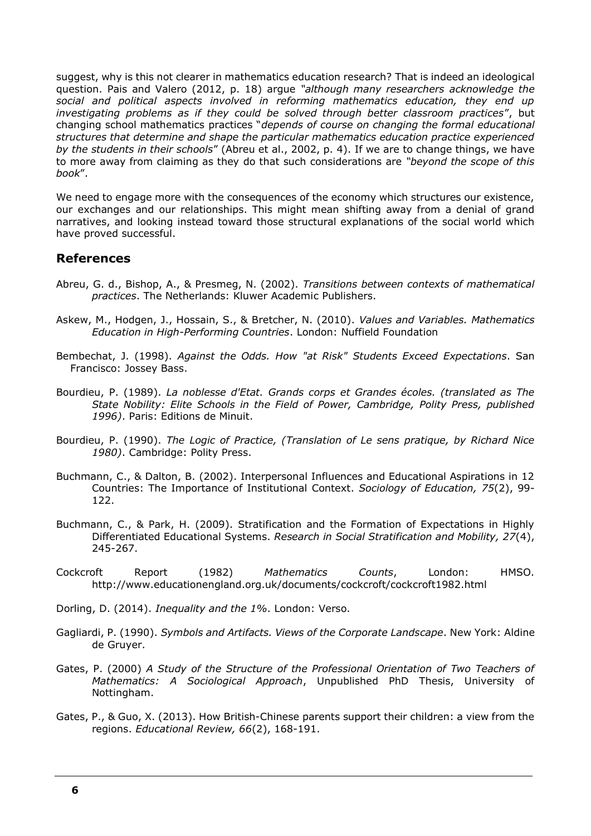suggest, why is this not clearer in mathematics education research? That is indeed an ideological question. Pais and Valero (2012, p. 18) argue *"although many researchers acknowledge the social and political aspects involved in reforming mathematics education, they end up investigating problems as if they could be solved through better classroom practices*", but changing school mathematics practices "*depends of course on changing the formal educational structures that determine and shape the particular mathematics education practice experienced by the students in their schools*" (Abreu et al., 2002, p. 4). If we are to change things, we have to more away from claiming as they do that such considerations are *"beyond the scope of this book*".

We need to engage more with the consequences of the economy which structures our existence, our exchanges and our relationships. This might mean shifting away from a denial of grand narratives, and looking instead toward those structural explanations of the social world which have proved successful.

### **References**

- Abreu, G. d., Bishop, A., & Presmeg, N. (2002). *Transitions between contexts of mathematical practices*. The Netherlands: Kluwer Academic Publishers.
- Askew, M., Hodgen, J., Hossain, S., & Bretcher, N. (2010). *Values and Variables. Mathematics Education in High-Performing Countries*. London: Nuffield Foundation
- Bembechat, J. (1998). *Against the Odds. How "at Risk" Students Exceed Expectations*. San Francisco: Jossey Bass.
- Bourdieu, P. (1989). *La noblesse d'Etat. Grands corps et Grandes écoles. (translated as The State Nobility: Elite Schools in the Field of Power, Cambridge, Polity Press, published 1996)*. Paris: Editions de Minuit.
- Bourdieu, P. (1990). *The Logic of Practice, (Translation of Le sens pratique, by Richard Nice 1980)*. Cambridge: Polity Press.
- Buchmann, C., & Dalton, B. (2002). Interpersonal Influences and Educational Aspirations in 12 Countries: The Importance of Institutional Context. *Sociology of Education, 75*(2), 99- 122.
- Buchmann, C., & Park, H. (2009). Stratification and the Formation of Expectations in Highly Differentiated Educational Systems. *Research in Social Stratification and Mobility, 27*(4), 245-267.
- Cockcroft Report (1982) *Mathematics Counts*, London: HMSO. http://www.educationengland.org.uk/documents/cockcroft/cockcroft1982.html
- Dorling, D. (2014). *Inequality and the 1%*. London: Verso.
- Gagliardi, P. (1990). *Symbols and Artifacts. Views of the Corporate Landscape*. New York: Aldine de Gruyer.
- Gates, P. (2000) *A Study of the Structure of the Professional Orientation of Two Teachers of Mathematics: A Sociological Approach*, Unpublished PhD Thesis, University of Nottingham.
- Gates, P., & Guo, X. (2013). How British-Chinese parents support their children: a view from the regions. *Educational Review, 66*(2), 168-191.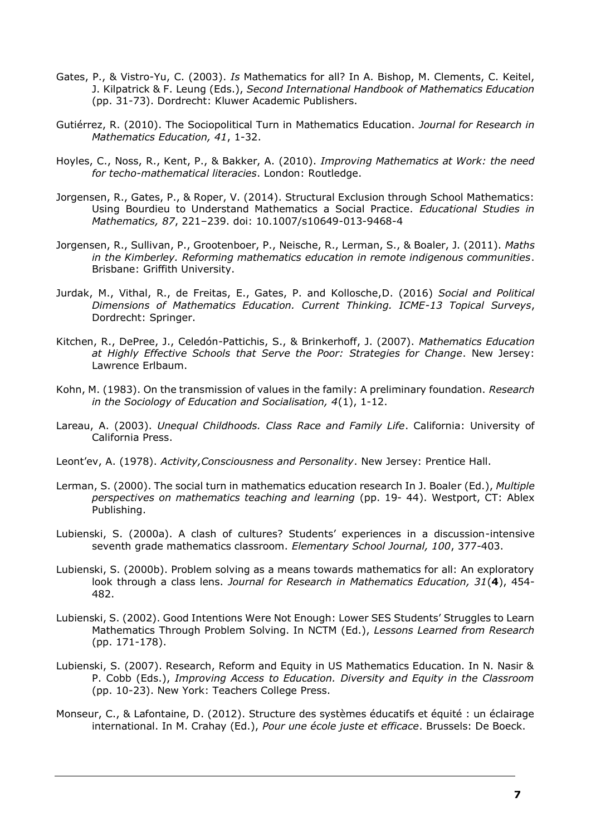- Gates, P., & Vistro-Yu, C. (2003). *Is* Mathematics for all? In A. Bishop, M. Clements, C. Keitel, J. Kilpatrick & F. Leung (Eds.), *Second International Handbook of Mathematics Education* (pp. 31-73). Dordrecht: Kluwer Academic Publishers.
- Gutiérrez, R. (2010). The Sociopolitical Turn in Mathematics Education. *Journal for Research in Mathematics Education, 41*, 1-32.
- Hoyles, C., Noss, R., Kent, P., & Bakker, A. (2010). *Improving Mathematics at Work: the need for techo-mathematical literacies*. London: Routledge.
- Jorgensen, R., Gates, P., & Roper, V. (2014). Structural Exclusion through School Mathematics: Using Bourdieu to Understand Mathematics a Social Practice. *Educational Studies in Mathematics, 87*, 221–239. doi: 10.1007/s10649-013-9468-4
- Jorgensen, R., Sullivan, P., Grootenboer, P., Neische, R., Lerman, S., & Boaler, J. (2011). *Maths in the Kimberley. Reforming mathematics education in remote indigenous communities*. Brisbane: Griffith University.
- Jurdak, M., Vithal, R., de Freitas, E., Gates, P. and Kollosche,D. (2016) *Social and Political Dimensions of Mathematics Education. Current Thinking. ICME-13 Topical Surveys*, Dordrecht: Springer.
- Kitchen, R., DePree, J., Celedón-Pattichis, S., & Brinkerhoff, J. (2007). *Mathematics Education at Highly Effective Schools that Serve the Poor: Strategies for Change*. New Jersey: Lawrence Erlbaum.
- Kohn, M. (1983). On the transmission of values in the family: A preliminary foundation. *Research in the Sociology of Education and Socialisation, 4*(1), 1-12.
- Lareau, A. (2003). *Unequal Childhoods. Class Race and Family Life*. California: University of California Press.
- Leont'ev, A. (1978). *Activity,Consciousness and Personality*. New Jersey: Prentice Hall.
- Lerman, S. (2000). The social turn in mathematics education research In J. Boaler (Ed.), *Multiple perspectives on mathematics teaching and learning* (pp. 19- 44). Westport, CT: Ablex Publishing.
- Lubienski, S. (2000a). A clash of cultures? Students' experiences in a discussion-intensive seventh grade mathematics classroom. *Elementary School Journal, 100*, 377-403.
- Lubienski, S. (2000b). Problem solving as a means towards mathematics for all: An exploratory look through a class lens. *Journal for Research in Mathematics Education, 31*(**4**), 454- 482.
- Lubienski, S. (2002). Good Intentions Were Not Enough: Lower SES Students' Struggles to Learn Mathematics Through Problem Solving. In NCTM (Ed.), *Lessons Learned from Research* (pp. 171-178).
- Lubienski, S. (2007). Research, Reform and Equity in US Mathematics Education. In N. Nasir & P. Cobb (Eds.), *Improving Access to Education. Diversity and Equity in the Classroom* (pp. 10-23). New York: Teachers College Press.
- Monseur, C., & Lafontaine, D. (2012). Structure des systèmes éducatifs et équité : un éclairage international. In M. Crahay (Ed.), *Pour une école juste et efficace*. Brussels: De Boeck.